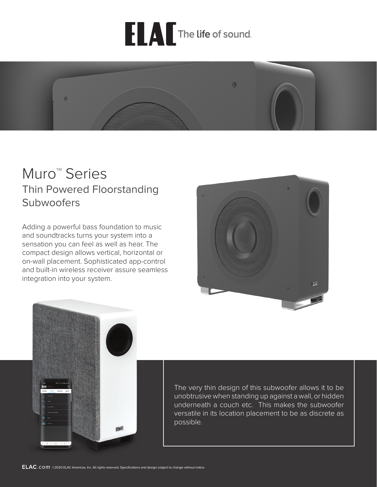# ELA EThe life of sound.



## Muro<sup>™</sup> Series Thin Powered Floorstanding Subwoofers

Adding a powerful bass foundation to music and soundtracks turns your system into a sensation you can feel as well as hear. The compact design allows vertical, horizontal or on-wall placement. Sophisticated app-control and built-in wireless receiver assure seamless integration into your system.





The very thin design of this subwoofer allows it to be unobtrusive when standing up against a wall, or hidden underneath a couch etc. This makes the subwoofer versatile in its location placement to be as discrete as possible.